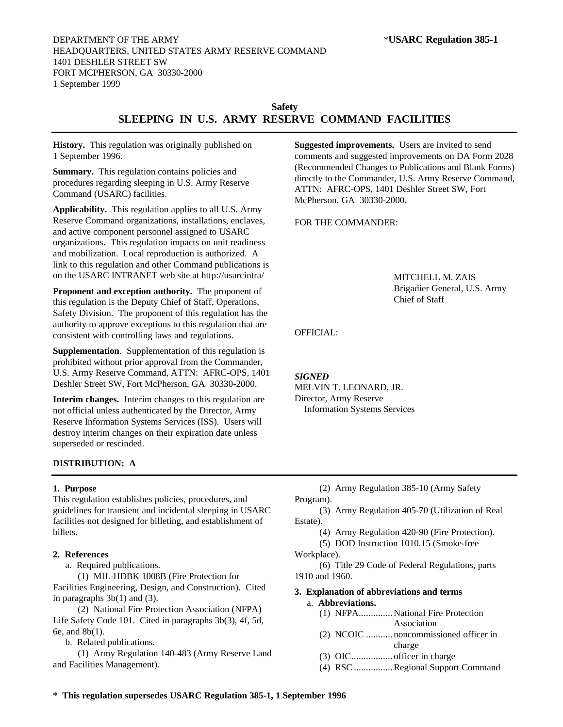# **Safety SLEEPING IN U.S. ARMY RESERVE COMMAND FACILITIES**

**History.** This regulation was originally published on 1 September 1996.

**Summary.** This regulation contains policies and procedures regarding sleeping in U.S. Army Reserve Command (USARC) facilities.

**Applicability.** This regulation applies to all U.S. Army Reserve Command organizations, installations, enclaves, and active component personnel assigned to USARC organizations. This regulation impacts on unit readiness and mobilization. Local reproduction is authorized. A link to this regulation and other Command publications is on the USARC INTRANET web site at http://usarcintra/

**Proponent and exception authority.** The proponent of this regulation is the Deputy Chief of Staff, Operations, Safety Division. The proponent of this regulation has the authority to approve exceptions to this regulation that are consistent with controlling laws and regulations.

**Supplementation**. Supplementation of this regulation is prohibited without prior approval from the Commander, U.S. Army Reserve Command, ATTN: AFRC-OPS, 1401 Deshler Street SW, Fort McPherson, GA 30330-2000.

**Interim changes.** Interim changes to this regulation are not official unless authenticated by the Director, Army Reserve Information Systems Services (ISS). Users will destroy interim changes on their expiration date unless superseded or rescinded.

# **DISTRIBUTION: A**

## **1. Purpose**

This regulation establishes policies, procedures, and guidelines for transient and incidental sleeping in USARC facilities not designed for billeting, and establishment of billets.

## **2. References**

a. Required publications.

(1) MIL-HDBK 1008B (Fire Protection for Facilities Engineering, Design, and Construction). Cited in paragraphs 3b(1) and (3).

(2) National Fire Protection Association (NFPA) Life Safety Code 101. Cited in paragraphs 3b(3), 4f, 5d, 6e, and 8b(1).

b. Related publications.

(1) Army Regulation 140-483 (Army Reserve Land and Facilities Management).

**Suggested improvements.** Users are invited to send comments and suggested improvements on DA Form 2028 (Recommended Changes to Publications and Blank Forms) directly to the Commander, U.S. Army Reserve Command, ATTN: AFRC-OPS, 1401 Deshler Street SW, Fort McPherson, GA 30330-2000.

FOR THE COMMANDER:

MITCHELL M. ZAIS Brigadier General, U.S. Army Chief of Staff

# OFFICIAL:

## *SIGNED*

MELVIN T. LEONARD, JR. Director, Army Reserve Information Systems Services

(2) Army Regulation 385-10 (Army Safety Program). (3) Army Regulation 405-70 (Utilization of Real Estate).

(4) Army Regulation 420-90 (Fire Protection).

(5) DOD Instruction 1010.15 (Smoke-free

Workplace).

(6) Title 29 Code of Federal Regulations, parts 1910 and 1960.

# **3. Explanation of abbreviations and terms**

- a. **Abbreviations.** (1) NFPA..............National Fire Protection
	- Association
	- (2) NCOIC ........... noncommissioned officer in charge
	- (3) OIC................. officer in charge
	- (4) RSC................Regional Support Command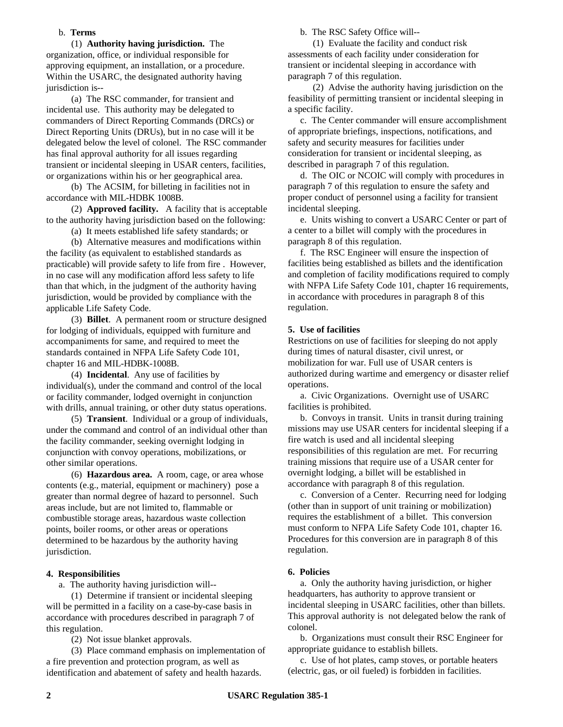# b. **Terms**

(1) **Authority having jurisdiction.** The organization, office, or individual responsible for approving equipment, an installation, or a procedure. Within the USARC, the designated authority having jurisdiction is--

(a) The RSC commander, for transient and incidental use. This authority may be delegated to commanders of Direct Reporting Commands (DRCs) or Direct Reporting Units (DRUs), but in no case will it be delegated below the level of colonel. The RSC commander has final approval authority for all issues regarding transient or incidental sleeping in USAR centers, facilities, or organizations within his or her geographical area.

(b) The ACSIM, for billeting in facilities not in accordance with MIL-HDBK 1008B.

(2) **Approved facility.** A facility that is acceptable to the authority having jurisdiction based on the following:

(a) It meets established life safety standards; or

(b) Alternative measures and modifications within the facility (as equivalent to established standards as practicable) will provide safety to life from fire . However, in no case will any modification afford less safety to life than that which, in the judgment of the authority having jurisdiction, would be provided by compliance with the applicable Life Safety Code.

(3) **Billet**. A permanent room or structure designed for lodging of individuals, equipped with furniture and accompaniments for same, and required to meet the standards contained in NFPA Life Safety Code 101, chapter 16 and MIL-HDBK-1008B.

(4) **Incidental**. Any use of facilities by individual(s), under the command and control of the local or facility commander, lodged overnight in conjunction with drills, annual training, or other duty status operations.

(5) **Transient**. Individual or a group of individuals, under the command and control of an individual other than the facility commander, seeking overnight lodging in conjunction with convoy operations, mobilizations, or other similar operations.

(6) **Hazardous area.** A room, cage, or area whose contents (e.g., material, equipment or machinery) pose a greater than normal degree of hazard to personnel. Such areas include, but are not limited to, flammable or combustible storage areas, hazardous waste collection points, boiler rooms, or other areas or operations determined to be hazardous by the authority having jurisdiction.

# **4. Responsibilities**

a. The authority having jurisdiction will--

(1) Determine if transient or incidental sleeping will be permitted in a facility on a case-by-case basis in accordance with procedures described in paragraph 7 of this regulation.

(2) Not issue blanket approvals.

(3) Place command emphasis on implementation of a fire prevention and protection program, as well as identification and abatement of safety and health hazards.

b. The RSC Safety Office will--

(1) Evaluate the facility and conduct risk assessments of each facility under consideration for transient or incidental sleeping in accordance with paragraph 7 of this regulation.

(2) Advise the authority having jurisdiction on the feasibility of permitting transient or incidental sleeping in a specific facility.

c. The Center commander will ensure accomplishment of appropriate briefings, inspections, notifications, and safety and security measures for facilities under consideration for transient or incidental sleeping, as described in paragraph 7 of this regulation.

d. The OIC or NCOIC will comply with procedures in paragraph 7 of this regulation to ensure the safety and proper conduct of personnel using a facility for transient incidental sleeping.

e. Units wishing to convert a USARC Center or part of a center to a billet will comply with the procedures in paragraph 8 of this regulation.

f. The RSC Engineer will ensure the inspection of facilities being established as billets and the identification and completion of facility modifications required to comply with NFPA Life Safety Code 101, chapter 16 requirements, in accordance with procedures in paragraph 8 of this regulation.

# **5. Use of facilities**

Restrictions on use of facilities for sleeping do not apply during times of natural disaster, civil unrest, or mobilization for war. Full use of USAR centers is authorized during wartime and emergency or disaster relief operations.

a. Civic Organizations. Overnight use of USARC facilities is prohibited.

b. Convoys in transit. Units in transit during training missions may use USAR centers for incidental sleeping if a fire watch is used and all incidental sleeping responsibilities of this regulation are met. For recurring training missions that require use of a USAR center for overnight lodging, a billet will be established in accordance with paragraph 8 of this regulation.

c. Conversion of a Center. Recurring need for lodging (other than in support of unit training or mobilization) requires the establishment of a billet. This conversion must conform to NFPA Life Safety Code 101, chapter 16. Procedures for this conversion are in paragraph 8 of this regulation.

# **6. Policies**

a. Only the authority having jurisdiction, or higher headquarters, has authority to approve transient or incidental sleeping in USARC facilities, other than billets. This approval authority is not delegated below the rank of colonel.

b. Organizations must consult their RSC Engineer for appropriate guidance to establish billets.

c. Use of hot plates, camp stoves, or portable heaters (electric, gas, or oil fueled) is forbidden in facilities.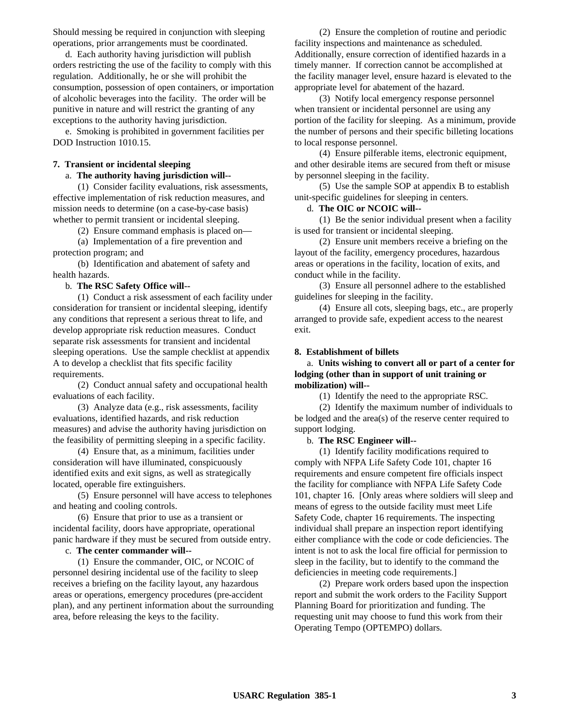Should messing be required in conjunction with sleeping operations, prior arrangements must be coordinated.

d. Each authority having jurisdiction will publish orders restricting the use of the facility to comply with this regulation. Additionally, he or she will prohibit the consumption, possession of open containers, or importation of alcoholic beverages into the facility. The order will be punitive in nature and will restrict the granting of any exceptions to the authority having jurisdiction.

e. Smoking is prohibited in government facilities per DOD Instruction 1010.15.

## **7. Transient or incidental sleeping**

# a. **The authority having jurisdiction will--**

(1) Consider facility evaluations, risk assessments, effective implementation of risk reduction measures, and mission needs to determine (on a case-by-case basis) whether to permit transient or incidental sleeping.

(2) Ensure command emphasis is placed on—

(a) Implementation of a fire prevention and protection program; and

(b) Identification and abatement of safety and health hazards.

#### b. **The RSC Safety Office will--**

(1) Conduct a risk assessment of each facility under consideration for transient or incidental sleeping, identify any conditions that represent a serious threat to life, and develop appropriate risk reduction measures. Conduct separate risk assessments for transient and incidental sleeping operations. Use the sample checklist at appendix A to develop a checklist that fits specific facility requirements.

(2) Conduct annual safety and occupational health evaluations of each facility.

(3) Analyze data (e.g., risk assessments, facility evaluations, identified hazards, and risk reduction measures) and advise the authority having jurisdiction on the feasibility of permitting sleeping in a specific facility.

(4) Ensure that, as a minimum, facilities under consideration will have illuminated, conspicuously identified exits and exit signs, as well as strategically located, operable fire extinguishers.

(5) Ensure personnel will have access to telephones and heating and cooling controls.

(6) Ensure that prior to use as a transient or incidental facility, doors have appropriate, operational panic hardware if they must be secured from outside entry.

# c. **The center commander will--**

(1) Ensure the commander, OIC, or NCOIC of personnel desiring incidental use of the facility to sleep receives a briefing on the facility layout, any hazardous areas or operations, emergency procedures (pre-accident plan), and any pertinent information about the surrounding area, before releasing the keys to the facility.

(2) Ensure the completion of routine and periodic facility inspections and maintenance as scheduled. Additionally, ensure correction of identified hazards in a timely manner. If correction cannot be accomplished at the facility manager level, ensure hazard is elevated to the appropriate level for abatement of the hazard.

(3) Notify local emergency response personnel when transient or incidental personnel are using any portion of the facility for sleeping. As a minimum, provide the number of persons and their specific billeting locations to local response personnel.

(4) Ensure pilferable items, electronic equipment, and other desirable items are secured from theft or misuse by personnel sleeping in the facility.

(5) Use the sample SOP at appendix B to establish unit-specific guidelines for sleeping in centers.

## d. **The OIC or NCOIC will--**

(1) Be the senior individual present when a facility is used for transient or incidental sleeping.

(2) Ensure unit members receive a briefing on the layout of the facility, emergency procedures, hazardous areas or operations in the facility, location of exits, and conduct while in the facility.

(3) Ensure all personnel adhere to the established guidelines for sleeping in the facility.

(4) Ensure all cots, sleeping bags, etc., are properly arranged to provide safe, expedient access to the nearest exit.

#### **8. Establishment of billets**

a. **Units wishing to convert all or part of a center for lodging (other than in support of unit training or mobilization) will--**

(1) Identify the need to the appropriate RSC.

(2) Identify the maximum number of individuals to be lodged and the area(s) of the reserve center required to support lodging.

#### b. **The RSC Engineer will--**

(1) Identify facility modifications required to comply with NFPA Life Safety Code 101, chapter 16 requirements and ensure competent fire officials inspect the facility for compliance with NFPA Life Safety Code 101, chapter 16. [Only areas where soldiers will sleep and means of egress to the outside facility must meet Life Safety Code, chapter 16 requirements. The inspecting individual shall prepare an inspection report identifying either compliance with the code or code deficiencies. The intent is not to ask the local fire official for permission to sleep in the facility, but to identify to the command the deficiencies in meeting code requirements.]

(2) Prepare work orders based upon the inspection report and submit the work orders to the Facility Support Planning Board for prioritization and funding. The requesting unit may choose to fund this work from their Operating Tempo (OPTEMPO) dollars.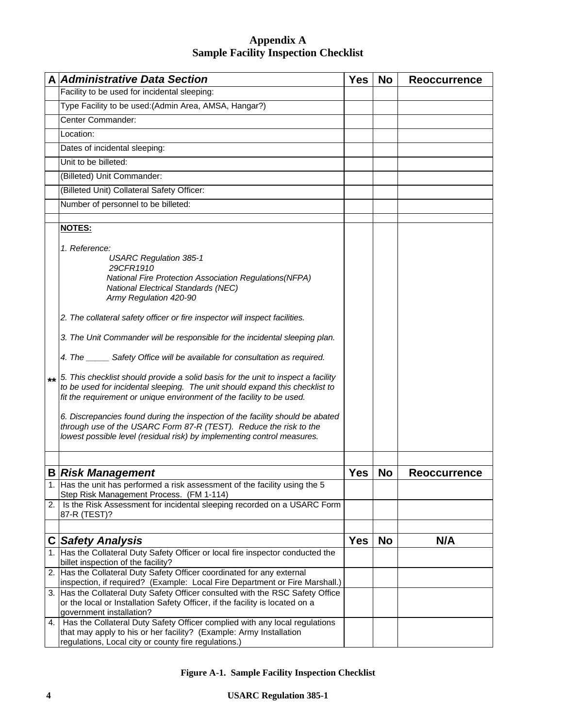# **Appendix A Sample Facility Inspection Checklist**

|      | <b>A Administrative Data Section</b>                                                                                                                                                                                                                                                                                                                                                                                                                                                                                                                                                                                                                                                                                                                                                                                                                                                                                      | <b>Yes</b> | <b>No</b> | <b>Reoccurrence</b> |
|------|---------------------------------------------------------------------------------------------------------------------------------------------------------------------------------------------------------------------------------------------------------------------------------------------------------------------------------------------------------------------------------------------------------------------------------------------------------------------------------------------------------------------------------------------------------------------------------------------------------------------------------------------------------------------------------------------------------------------------------------------------------------------------------------------------------------------------------------------------------------------------------------------------------------------------|------------|-----------|---------------------|
|      | Facility to be used for incidental sleeping:                                                                                                                                                                                                                                                                                                                                                                                                                                                                                                                                                                                                                                                                                                                                                                                                                                                                              |            |           |                     |
|      | Type Facility to be used: (Admin Area, AMSA, Hangar?)                                                                                                                                                                                                                                                                                                                                                                                                                                                                                                                                                                                                                                                                                                                                                                                                                                                                     |            |           |                     |
|      | Center Commander:                                                                                                                                                                                                                                                                                                                                                                                                                                                                                                                                                                                                                                                                                                                                                                                                                                                                                                         |            |           |                     |
|      | Location:                                                                                                                                                                                                                                                                                                                                                                                                                                                                                                                                                                                                                                                                                                                                                                                                                                                                                                                 |            |           |                     |
|      | Dates of incidental sleeping:                                                                                                                                                                                                                                                                                                                                                                                                                                                                                                                                                                                                                                                                                                                                                                                                                                                                                             |            |           |                     |
|      | Unit to be billeted:                                                                                                                                                                                                                                                                                                                                                                                                                                                                                                                                                                                                                                                                                                                                                                                                                                                                                                      |            |           |                     |
|      | (Billeted) Unit Commander:                                                                                                                                                                                                                                                                                                                                                                                                                                                                                                                                                                                                                                                                                                                                                                                                                                                                                                |            |           |                     |
|      | (Billeted Unit) Collateral Safety Officer:                                                                                                                                                                                                                                                                                                                                                                                                                                                                                                                                                                                                                                                                                                                                                                                                                                                                                |            |           |                     |
|      | Number of personnel to be billeted:                                                                                                                                                                                                                                                                                                                                                                                                                                                                                                                                                                                                                                                                                                                                                                                                                                                                                       |            |           |                     |
|      |                                                                                                                                                                                                                                                                                                                                                                                                                                                                                                                                                                                                                                                                                                                                                                                                                                                                                                                           |            |           |                     |
|      | <b>NOTES:</b>                                                                                                                                                                                                                                                                                                                                                                                                                                                                                                                                                                                                                                                                                                                                                                                                                                                                                                             |            |           |                     |
| $**$ | 1. Reference:<br><b>USARC Regulation 385-1</b><br>29CFR1910<br>National Fire Protection Association Regulations(NFPA)<br><b>National Electrical Standards (NEC)</b><br>Army Regulation 420-90<br>2. The collateral safety officer or fire inspector will inspect facilities.<br>3. The Unit Commander will be responsible for the incidental sleeping plan.<br>4. The ______ Safety Office will be available for consultation as required.<br>5. This checklist should provide a solid basis for the unit to inspect a facility<br>to be used for incidental sleeping. The unit should expand this checklist to<br>fit the requirement or unique environment of the facility to be used.<br>6. Discrepancies found during the inspection of the facility should be abated<br>through use of the USARC Form 87-R (TEST). Reduce the risk to the<br>lowest possible level (residual risk) by implementing control measures. |            |           |                     |
|      |                                                                                                                                                                                                                                                                                                                                                                                                                                                                                                                                                                                                                                                                                                                                                                                                                                                                                                                           |            |           |                     |
|      | <b>B Risk Management</b>                                                                                                                                                                                                                                                                                                                                                                                                                                                                                                                                                                                                                                                                                                                                                                                                                                                                                                  | <b>Yes</b> | <b>No</b> | <b>Reoccurrence</b> |
|      | 1. [Has the unit has performed a risk assessment of the facility using the 5<br>Step Risk Management Process. (FM 1-114)                                                                                                                                                                                                                                                                                                                                                                                                                                                                                                                                                                                                                                                                                                                                                                                                  |            |           |                     |
| 2.   | Is the Risk Assessment for incidental sleeping recorded on a USARC Form<br>87-R (TEST)?                                                                                                                                                                                                                                                                                                                                                                                                                                                                                                                                                                                                                                                                                                                                                                                                                                   |            |           |                     |
|      |                                                                                                                                                                                                                                                                                                                                                                                                                                                                                                                                                                                                                                                                                                                                                                                                                                                                                                                           |            |           |                     |
|      | <b>C</b> Safety Analysis                                                                                                                                                                                                                                                                                                                                                                                                                                                                                                                                                                                                                                                                                                                                                                                                                                                                                                  | <b>Yes</b> | <b>No</b> | N/A                 |
|      | 1. Has the Collateral Duty Safety Officer or local fire inspector conducted the                                                                                                                                                                                                                                                                                                                                                                                                                                                                                                                                                                                                                                                                                                                                                                                                                                           |            |           |                     |
|      | billet inspection of the facility?<br>2. Has the Collateral Duty Safety Officer coordinated for any external                                                                                                                                                                                                                                                                                                                                                                                                                                                                                                                                                                                                                                                                                                                                                                                                              |            |           |                     |
|      | inspection, if required? (Example: Local Fire Department or Fire Marshall.)                                                                                                                                                                                                                                                                                                                                                                                                                                                                                                                                                                                                                                                                                                                                                                                                                                               |            |           |                     |
|      | 3. Has the Collateral Duty Safety Officer consulted with the RSC Safety Office<br>or the local or Installation Safety Officer, if the facility is located on a<br>government installation?                                                                                                                                                                                                                                                                                                                                                                                                                                                                                                                                                                                                                                                                                                                                |            |           |                     |
| 4.   | Has the Collateral Duty Safety Officer complied with any local regulations                                                                                                                                                                                                                                                                                                                                                                                                                                                                                                                                                                                                                                                                                                                                                                                                                                                |            |           |                     |
|      | that may apply to his or her facility? (Example: Army Installation<br>regulations, Local city or county fire regulations.)                                                                                                                                                                                                                                                                                                                                                                                                                                                                                                                                                                                                                                                                                                                                                                                                |            |           |                     |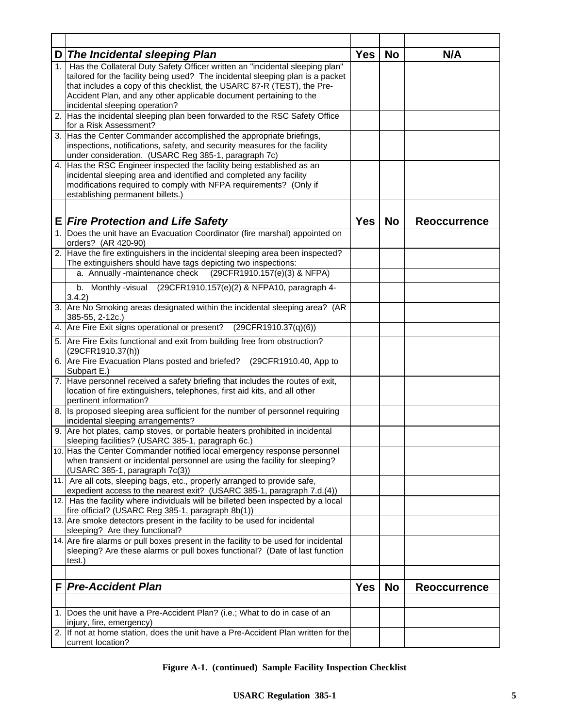|    | D The Incidental sleeping Plan                                                                                                                                                                                                                                                                                                                    | <b>Yes</b> | <b>No</b> | N/A                 |
|----|---------------------------------------------------------------------------------------------------------------------------------------------------------------------------------------------------------------------------------------------------------------------------------------------------------------------------------------------------|------------|-----------|---------------------|
| 1. | Has the Collateral Duty Safety Officer written an "incidental sleeping plan"<br>tailored for the facility being used? The incidental sleeping plan is a packet<br>that includes a copy of this checklist, the USARC 87-R (TEST), the Pre-<br>Accident Plan, and any other applicable document pertaining to the<br>incidental sleeping operation? |            |           |                     |
|    | 2. Has the incidental sleeping plan been forwarded to the RSC Safety Office<br>for a Risk Assessment?                                                                                                                                                                                                                                             |            |           |                     |
| 3. | Has the Center Commander accomplished the appropriate briefings,<br>inspections, notifications, safety, and security measures for the facility<br>under consideration. (USARC Reg 385-1, paragraph 7c)                                                                                                                                            |            |           |                     |
| 4. | Has the RSC Engineer inspected the facility being established as an<br>incidental sleeping area and identified and completed any facility<br>modifications required to comply with NFPA requirements? (Only if<br>establishing permanent billets.)                                                                                                |            |           |                     |
|    | <b>E Fire Protection and Life Safety</b>                                                                                                                                                                                                                                                                                                          | <b>Yes</b> | <b>No</b> | <b>Reoccurrence</b> |
|    | 1. Does the unit have an Evacuation Coordinator (fire marshal) appointed on<br>orders? (AR 420-90)                                                                                                                                                                                                                                                |            |           |                     |
| 2. | Have the fire extinguishers in the incidental sleeping area been inspected?<br>The extinguishers should have tags depicting two inspections:                                                                                                                                                                                                      |            |           |                     |
|    | a. Annually -maintenance check<br>(29CFR1910.157(e)(3) & NFPA)                                                                                                                                                                                                                                                                                    |            |           |                     |
|    | Monthly -visual<br>(29CFR1910,157(e)(2) & NFPA10, paragraph 4-<br>b.<br>3.4.2)                                                                                                                                                                                                                                                                    |            |           |                     |
|    | 3. Are No Smoking areas designated within the incidental sleeping area? (AR<br>385-55, 2-12c.)                                                                                                                                                                                                                                                    |            |           |                     |
| 4. | Are Fire Exit signs operational or present?<br>(29CFR1910.37(q)(6))                                                                                                                                                                                                                                                                               |            |           |                     |
|    | 5. Are Fire Exits functional and exit from building free from obstruction?<br>(29CFR1910.37(h))                                                                                                                                                                                                                                                   |            |           |                     |
|    | 6. Are Fire Evacuation Plans posted and briefed? (29CFR1910.40, App to<br>Subpart E.)                                                                                                                                                                                                                                                             |            |           |                     |
|    | 7. Have personnel received a safety briefing that includes the routes of exit,<br>location of fire extinguishers, telephones, first aid kits, and all other<br>pertinent information?                                                                                                                                                             |            |           |                     |
|    | 8. Is proposed sleeping area sufficient for the number of personnel requiring<br>incidental sleeping arrangements?                                                                                                                                                                                                                                |            |           |                     |
| 9. | Are hot plates, camp stoves, or portable heaters prohibited in incidental<br>sleeping facilities? (USARC 385-1, paragraph 6c.)                                                                                                                                                                                                                    |            |           |                     |
|    | 10. Has the Center Commander notified local emergency response personnel<br>when transient or incidental personnel are using the facility for sleeping?<br>(USARC 385-1, paragraph 7c(3))                                                                                                                                                         |            |           |                     |
|    | 11. Are all cots, sleeping bags, etc., properly arranged to provide safe,<br>expedient access to the nearest exit? (USARC 385-1, paragraph 7.d.(4))                                                                                                                                                                                               |            |           |                     |
|    | 12. Has the facility where individuals will be billeted been inspected by a local<br>fire official? (USARC Reg 385-1, paragraph 8b(1))                                                                                                                                                                                                            |            |           |                     |
|    | 13. Are smoke detectors present in the facility to be used for incidental<br>sleeping? Are they functional?                                                                                                                                                                                                                                       |            |           |                     |
|    | 14. Are fire alarms or pull boxes present in the facility to be used for incidental<br>sleeping? Are these alarms or pull boxes functional? (Date of last function<br>test.)                                                                                                                                                                      |            |           |                     |
| F  | <b>Pre-Accident Plan</b>                                                                                                                                                                                                                                                                                                                          | <b>Yes</b> | <b>No</b> | <b>Reoccurrence</b> |
|    |                                                                                                                                                                                                                                                                                                                                                   |            |           |                     |
|    | 1. Does the unit have a Pre-Accident Plan? (i.e.; What to do in case of an<br>injury, fire, emergency)                                                                                                                                                                                                                                            |            |           |                     |
|    | 2. If not at home station, does the unit have a Pre-Accident Plan written for the<br>current location?                                                                                                                                                                                                                                            |            |           |                     |

**Figure A-1. (continued) Sample Facility Inspection Checklist**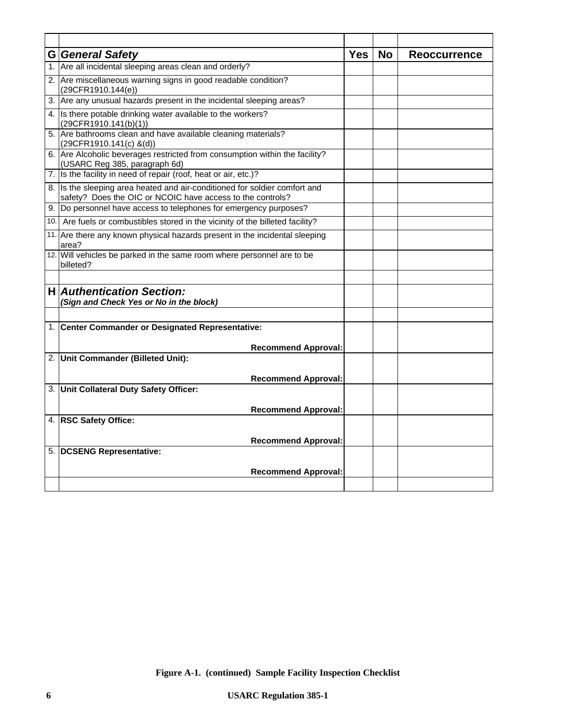| <b>G</b> General Safety                                                                                                                  | <b>Yes</b> | <b>No</b> | <b>Reoccurrence</b> |
|------------------------------------------------------------------------------------------------------------------------------------------|------------|-----------|---------------------|
| 1. Are all incidental sleeping areas clean and orderly?                                                                                  |            |           |                     |
| 2. Are miscellaneous warning signs in good readable condition?<br>(29CFR1910.144(e))                                                     |            |           |                     |
| 3. Are any unusual hazards present in the incidental sleeping areas?                                                                     |            |           |                     |
| 4. Is there potable drinking water available to the workers?<br>(29CFR1910.141(b)(1))                                                    |            |           |                     |
| 5. Are bathrooms clean and have available cleaning materials?<br>$(29CFR1910.141(c)$ &(d))                                               |            |           |                     |
| 6. Are Alcoholic beverages restricted from consumption within the facility?<br>(USARC Reg 385, paragraph 6d)                             |            |           |                     |
| 7. Is the facility in need of repair (roof, heat or air, etc.)?                                                                          |            |           |                     |
| 8. Is the sleeping area heated and air-conditioned for soldier comfort and<br>safety? Does the OIC or NCOIC have access to the controls? |            |           |                     |
| 9. Do personnel have access to telephones for emergency purposes?                                                                        |            |           |                     |
| 10. Are fuels or combustibles stored in the vicinity of the billeted facility?                                                           |            |           |                     |
| 11. Are there any known physical hazards present in the incidental sleeping<br>area?                                                     |            |           |                     |
| 12. Will vehicles be parked in the same room where personnel are to be<br>billeted?                                                      |            |           |                     |
|                                                                                                                                          |            |           |                     |
| <b>H</b> Authentication Section:<br>(Sign and Check Yes or No in the block)                                                              |            |           |                     |
|                                                                                                                                          |            |           |                     |
| 1. Center Commander or Designated Representative:                                                                                        |            |           |                     |
| <b>Recommend Approval:</b>                                                                                                               |            |           |                     |
| 2. Unit Commander (Billeted Unit):                                                                                                       |            |           |                     |
|                                                                                                                                          |            |           |                     |
| <b>Recommend Approval:</b>                                                                                                               |            |           |                     |
| 3. Unit Collateral Duty Safety Officer:                                                                                                  |            |           |                     |
| <b>Recommend Approval:</b>                                                                                                               |            |           |                     |
| 4. RSC Safety Office:                                                                                                                    |            |           |                     |
| <b>Recommend Approval:</b>                                                                                                               |            |           |                     |
| 5. DCSENG Representative:                                                                                                                |            |           |                     |
|                                                                                                                                          |            |           |                     |
| <b>Recommend Approval:</b>                                                                                                               |            |           |                     |
|                                                                                                                                          |            |           |                     |

**Figure A-1. (continued) Sample Facility Inspection Checklist**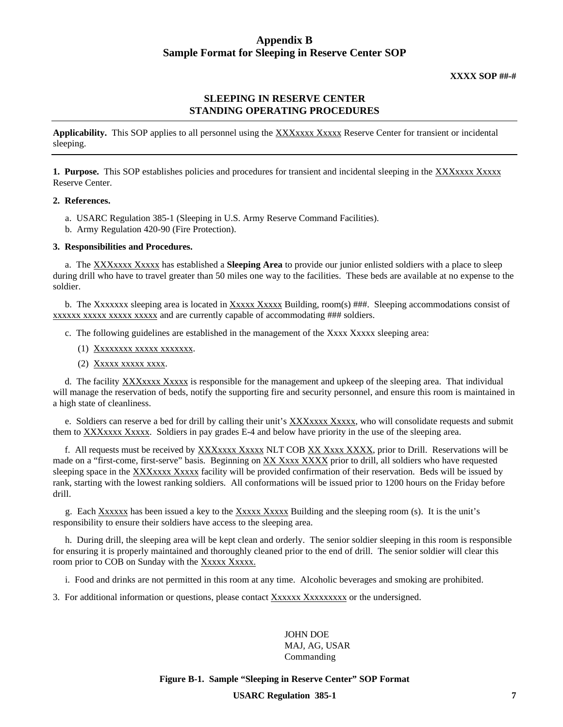# **Appendix B Sample Format for Sleeping in Reserve Center SOP**

**XXXX SOP ##-#**

# **SLEEPING IN RESERVE CENTER STANDING OPERATING PROCEDURES**

Applicability. This SOP applies to all personnel using the XXXxxxx Xxxxx Reserve Center for transient or incidental sleeping.

**1. Purpose.** This SOP establishes policies and procedures for transient and incidental sleeping in the XXXxxxx Xxxxx Reserve Center.

## **2. References.**

- a. USARC Regulation 385-1 (Sleeping in U.S. Army Reserve Command Facilities).
- b. Army Regulation 420-90 (Fire Protection).

# **3. Responsibilities and Procedures.**

 a. The XXXxxxx Xxxxx has established a **Sleeping Area** to provide our junior enlisted soldiers with a place to sleep during drill who have to travel greater than 50 miles one way to the facilities. These beds are available at no expense to the soldier.

 b. The Xxxxxxx sleeping area is located in Xxxxx Xxxxx Building, room(s) ###. Sleeping accommodations consist of xxxxxx xxxxx xxxxx xxxxx and are currently capable of accommodating ### soldiers.

c. The following guidelines are established in the management of the Xxxx Xxxxx sleeping area:

- (1) Xxxxxxxx xxxxx xxxxxxx.
- (2)  $Xxxxx$  xxxxx xxxx.

 d. The facility XXXxxxx Xxxxx is responsible for the management and upkeep of the sleeping area. That individual will manage the reservation of beds, notify the supporting fire and security personnel, and ensure this room is maintained in a high state of cleanliness.

 e. Soldiers can reserve a bed for drill by calling their unit's XXXxxxx Xxxxx, who will consolidate requests and submit them to XXXxxxx Xxxxx. Soldiers in pay grades E-4 and below have priority in the use of the sleeping area.

 f. All requests must be received by XXXxxxx Xxxxx NLT COB XX Xxxx XXXX, prior to Drill. Reservations will be made on a "first-come, first-serve" basis. Beginning on XX Xxxx XXXX prior to drill, all soldiers who have requested sleeping space in the XXXxxxx Xxxxx facility will be provided confirmation of their reservation. Beds will be issued by rank, starting with the lowest ranking soldiers. All conformations will be issued prior to 1200 hours on the Friday before drill.

 g. Each Xxxxxx has been issued a key to the Xxxxx Xxxxx Building and the sleeping room (s). It is the unit's responsibility to ensure their soldiers have access to the sleeping area.

 h. During drill, the sleeping area will be kept clean and orderly. The senior soldier sleeping in this room is responsible for ensuring it is properly maintained and thoroughly cleaned prior to the end of drill. The senior soldier will clear this room prior to COB on Sunday with the Xxxxx Xxxxx.

i. Food and drinks are not permitted in this room at any time. Alcoholic beverages and smoking are prohibited.

3. For additional information or questions, please contact Xxxxxxxxxxx or the undersigned.

JOHN DOE MAJ, AG, USAR Commanding

**Figure B-1. Sample "Sleeping in Reserve Center" SOP Format**

**USARC Regulation 385-1 7**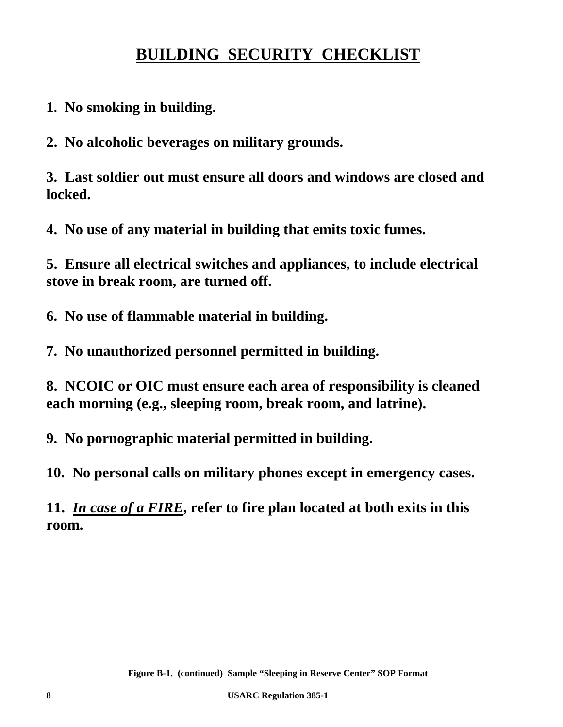# **BUILDING SECURITY CHECKLIST**

**1. No smoking in building.**

**2. No alcoholic beverages on military grounds.**

**3. Last soldier out must ensure all doors and windows are closed and locked.**

**4. No use of any material in building that emits toxic fumes.**

**5. Ensure all electrical switches and appliances, to include electrical stove in break room, are turned off.**

**6. No use of flammable material in building.**

**7. No unauthorized personnel permitted in building.**

**8. NCOIC or OIC must ensure each area of responsibility is cleaned each morning (e.g., sleeping room, break room, and latrine).**

**9. No pornographic material permitted in building.**

**10. No personal calls on military phones except in emergency cases.**

**11.** *In case of a FIRE***, refer to fire plan located at both exits in this room.**